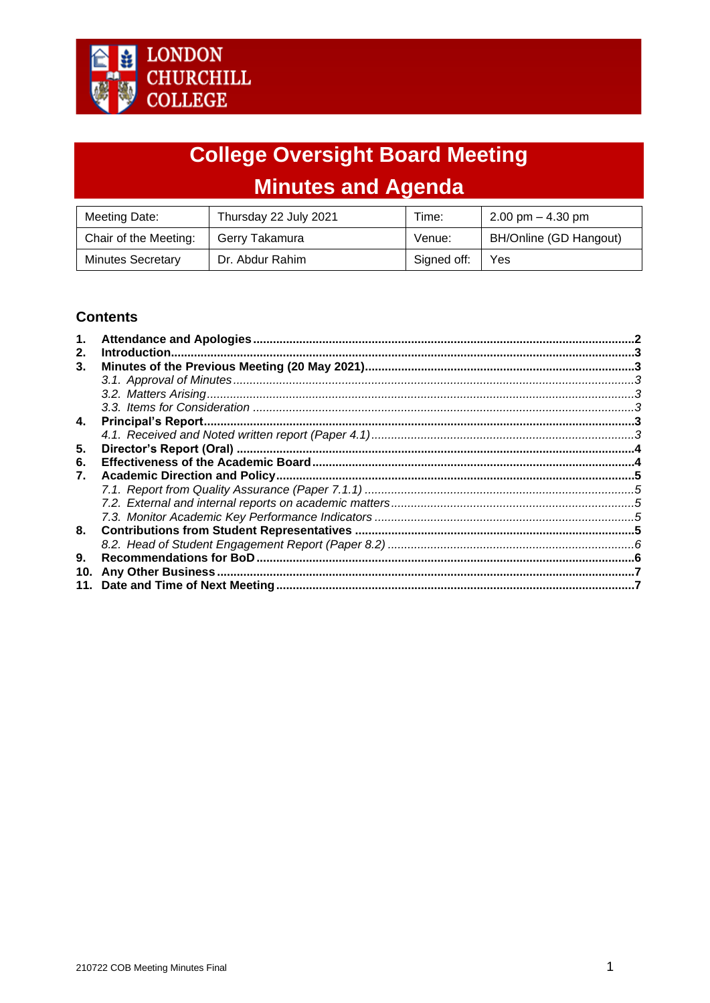# **College Oversight Board Meeting Minutes and Agenda**

| Meeting Date:            | Thursday 22 July 2021 | Time:       | $2.00 \text{ pm} - 4.30 \text{ pm}$ |
|--------------------------|-----------------------|-------------|-------------------------------------|
| Chair of the Meeting:    | Gerry Takamura        | Venue:      | BH/Online (GD Hangout)              |
| <b>Minutes Secretary</b> | Dr. Abdur Rahim       | Signed off: | Yes                                 |

## **Contents**

|     | Introduction. |  |
|-----|---------------|--|
| 3.  |               |  |
|     |               |  |
|     |               |  |
|     |               |  |
| 4.  |               |  |
|     |               |  |
| 5.  |               |  |
| 6.  |               |  |
| 7.  |               |  |
|     |               |  |
|     |               |  |
|     |               |  |
| 8.  |               |  |
|     |               |  |
| 9.  |               |  |
| 10. |               |  |
| 11. |               |  |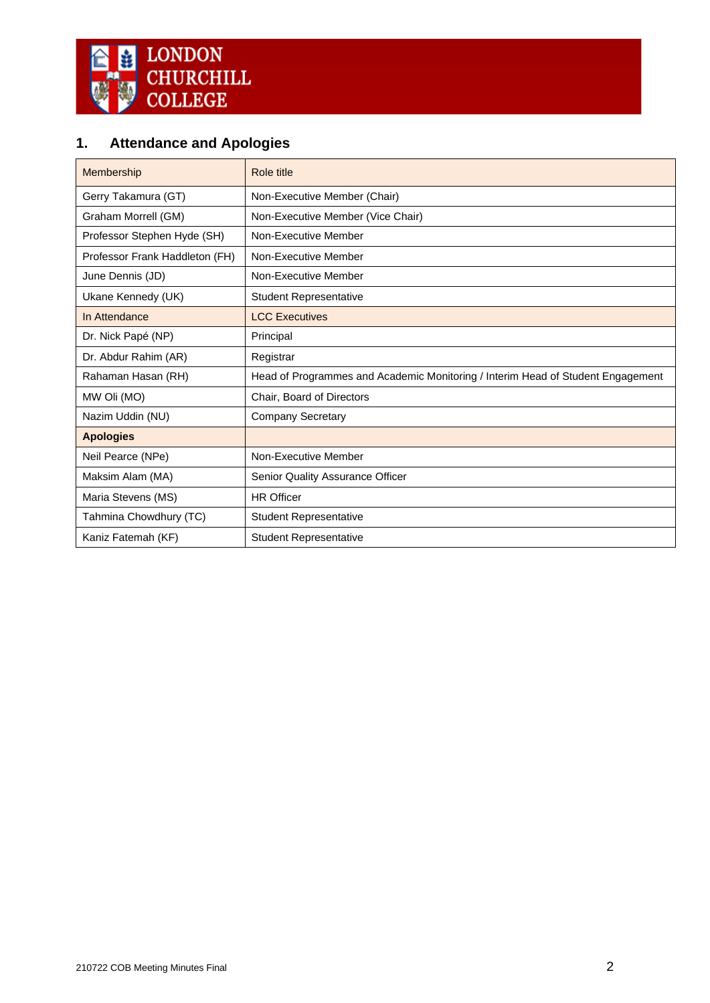

## <span id="page-1-0"></span>**1. Attendance and Apologies**

| Membership                     | Role title                                                                      |
|--------------------------------|---------------------------------------------------------------------------------|
| Gerry Takamura (GT)            | Non-Executive Member (Chair)                                                    |
| Graham Morrell (GM)            | Non-Executive Member (Vice Chair)                                               |
| Professor Stephen Hyde (SH)    | Non-Executive Member                                                            |
| Professor Frank Haddleton (FH) | Non-Executive Member                                                            |
| June Dennis (JD)               | Non-Executive Member                                                            |
| Ukane Kennedy (UK)             | <b>Student Representative</b>                                                   |
| In Attendance                  | <b>LCC Executives</b>                                                           |
| Dr. Nick Papé (NP)             | Principal                                                                       |
| Dr. Abdur Rahim (AR)           | Registrar                                                                       |
| Rahaman Hasan (RH)             | Head of Programmes and Academic Monitoring / Interim Head of Student Engagement |
| MW Oli (MO)                    | Chair, Board of Directors                                                       |
| Nazim Uddin (NU)               | <b>Company Secretary</b>                                                        |
| <b>Apologies</b>               |                                                                                 |
| Neil Pearce (NPe)              | Non-Executive Member                                                            |
| Maksim Alam (MA)               | Senior Quality Assurance Officer                                                |
| Maria Stevens (MS)             | <b>HR Officer</b>                                                               |
| Tahmina Chowdhury (TC)         | <b>Student Representative</b>                                                   |
| Kaniz Fatemah (KF)             | <b>Student Representative</b>                                                   |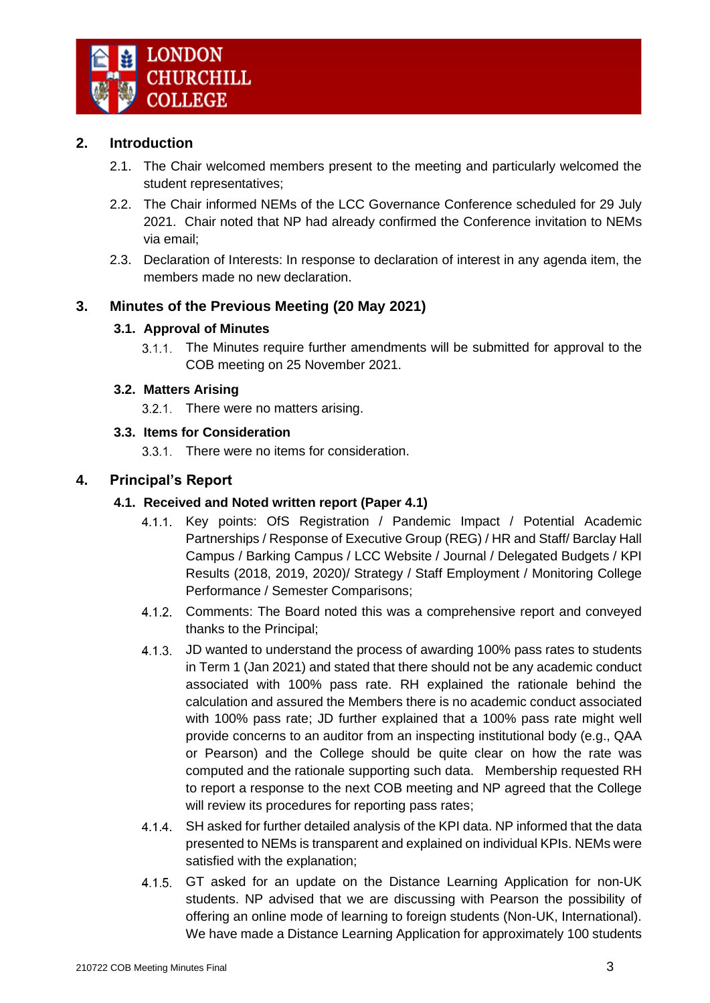## <span id="page-2-0"></span>**2. Introduction**

- 2.1. The Chair welcomed members present to the meeting and particularly welcomed the student representatives;
- 2.2. The Chair informed NEMs of the LCC Governance Conference scheduled for 29 July 2021. Chair noted that NP had already confirmed the Conference invitation to NEMs via email;
- 2.3. Declaration of Interests: In response to declaration of interest in any agenda item, the members made no new declaration.

## <span id="page-2-2"></span><span id="page-2-1"></span>**3. Minutes of the Previous Meeting (20 May 2021)**

## **3.1. Approval of Minutes**

The Minutes require further amendments will be submitted for approval to the COB meeting on 25 November 2021.

## <span id="page-2-3"></span>**3.2. Matters Arising**

3.2.1. There were no matters arising.

## <span id="page-2-4"></span>**3.3. Items for Consideration**

3.3.1. There were no items for consideration.

## <span id="page-2-6"></span><span id="page-2-5"></span>**4. Principal's Report**

## **4.1. Received and Noted written report (Paper 4.1)**

- Key points: OfS Registration / Pandemic Impact / Potential Academic  $4.1.1$ Partnerships / Response of Executive Group (REG) / HR and Staff/ Barclay Hall Campus / Barking Campus / LCC Website / Journal / Delegated Budgets / KPI Results (2018, 2019, 2020)/ Strategy / Staff Employment / Monitoring College Performance / Semester Comparisons;
- 4.1.2. Comments: The Board noted this was a comprehensive report and conveyed thanks to the Principal;
- 4.1.3. JD wanted to understand the process of awarding 100% pass rates to students in Term 1 (Jan 2021) and stated that there should not be any academic conduct associated with 100% pass rate. RH explained the rationale behind the calculation and assured the Members there is no academic conduct associated with 100% pass rate; JD further explained that a 100% pass rate might well provide concerns to an auditor from an inspecting institutional body (e.g., QAA or Pearson) and the College should be quite clear on how the rate was computed and the rationale supporting such data. Membership requested RH to report a response to the next COB meeting and NP agreed that the College will review its procedures for reporting pass rates;
- $4.1.4$ SH asked for further detailed analysis of the KPI data. NP informed that the data presented to NEMs is transparent and explained on individual KPIs. NEMs were satisfied with the explanation;
- GT asked for an update on the Distance Learning Application for non-UK  $4.1.5$ students. NP advised that we are discussing with Pearson the possibility of offering an online mode of learning to foreign students (Non-UK, International). We have made a Distance Learning Application for approximately 100 students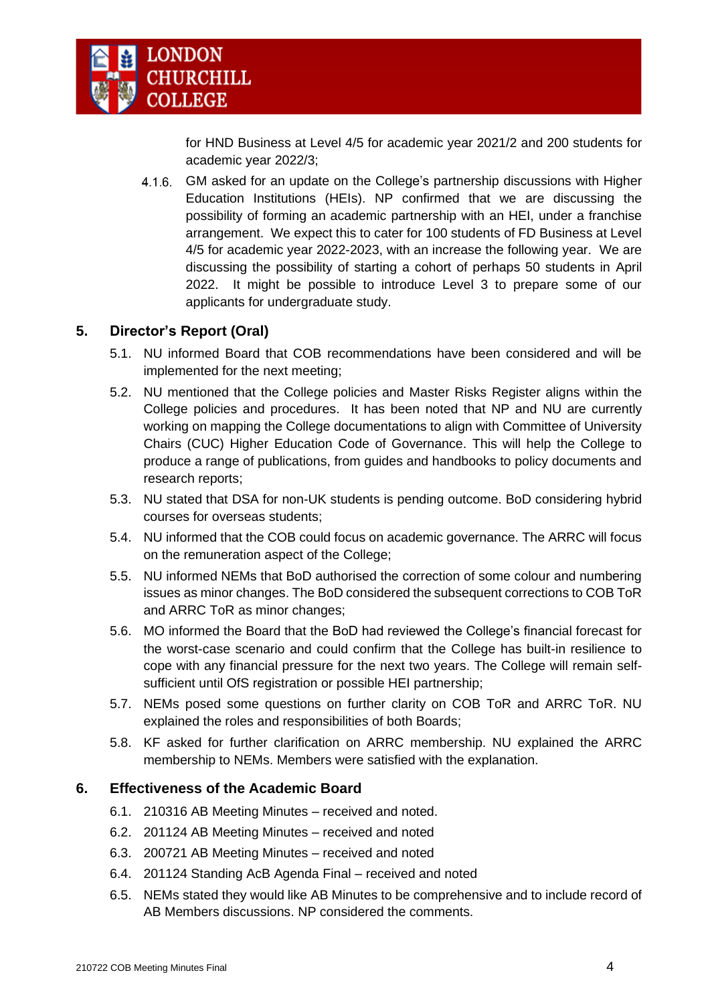

for HND Business at Level 4/5 for academic year 2021/2 and 200 students for academic year 2022/3;

 $4.1.6.$ GM asked for an update on the College's partnership discussions with Higher Education Institutions (HEIs). NP confirmed that we are discussing the possibility of forming an academic partnership with an HEI, under a franchise arrangement. We expect this to cater for 100 students of FD Business at Level 4/5 for academic year 2022-2023, with an increase the following year. We are discussing the possibility of starting a cohort of perhaps 50 students in April 2022. It might be possible to introduce Level 3 to prepare some of our applicants for undergraduate study.

## <span id="page-3-0"></span>**5. Director's Report (Oral)**

- 5.1. NU informed Board that COB recommendations have been considered and will be implemented for the next meeting;
- 5.2. NU mentioned that the College policies and Master Risks Register aligns within the College policies and procedures. It has been noted that NP and NU are currently working on mapping the College documentations to align with Committee of University Chairs (CUC) Higher Education Code of Governance. This will help the College to produce a range of publications, from guides and handbooks to policy documents and research reports;
- 5.3. NU stated that DSA for non-UK students is pending outcome. BoD considering hybrid courses for overseas students;
- 5.4. NU informed that the COB could focus on academic governance. The ARRC will focus on the remuneration aspect of the College;
- 5.5. NU informed NEMs that BoD authorised the correction of some colour and numbering issues as minor changes. The BoD considered the subsequent corrections to COB ToR and ARRC ToR as minor changes;
- 5.6. MO informed the Board that the BoD had reviewed the College's financial forecast for the worst-case scenario and could confirm that the College has built-in resilience to cope with any financial pressure for the next two years. The College will remain selfsufficient until OfS registration or possible HEI partnership;
- 5.7. NEMs posed some questions on further clarity on COB ToR and ARRC ToR. NU explained the roles and responsibilities of both Boards;
- 5.8. KF asked for further clarification on ARRC membership. NU explained the ARRC membership to NEMs. Members were satisfied with the explanation.

## <span id="page-3-1"></span>**6. Effectiveness of the Academic Board**

- 6.1. 210316 AB Meeting Minutes received and noted.
- 6.2. 201124 AB Meeting Minutes received and noted
- 6.3. 200721 AB Meeting Minutes received and noted
- 6.4. 201124 Standing AcB Agenda Final received and noted
- 6.5. NEMs stated they would like AB Minutes to be comprehensive and to include record of AB Members discussions. NP considered the comments.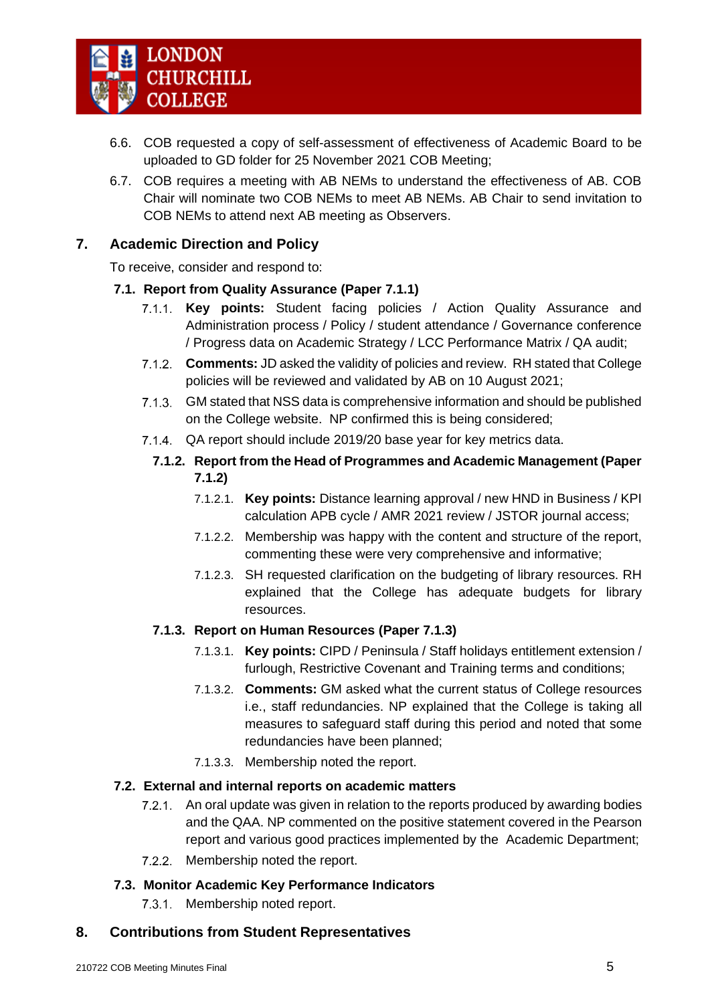

- 6.6. COB requested a copy of self-assessment of effectiveness of Academic Board to be uploaded to GD folder for 25 November 2021 COB Meeting;
- 6.7. COB requires a meeting with AB NEMs to understand the effectiveness of AB. COB Chair will nominate two COB NEMs to meet AB NEMs. AB Chair to send invitation to COB NEMs to attend next AB meeting as Observers.

## <span id="page-4-0"></span>**7. Academic Direction and Policy**

To receive, consider and respond to:

## <span id="page-4-1"></span>**7.1. Report from Quality Assurance (Paper 7.1.1)**

- **Key points:** Student facing policies / Action Quality Assurance and  $7.1.1.$ Administration process / Policy / student attendance / Governance conference / Progress data on Academic Strategy / LCC Performance Matrix / QA audit;
- **Comments:** JD asked the validity of policies and review. RH stated that College  $7.1.2$ policies will be reviewed and validated by AB on 10 August 2021;
- $7.1.3.$ GM stated that NSS data is comprehensive information and should be published on the College website. NP confirmed this is being considered;
- QA report should include 2019/20 base year for key metrics data.
	- **7.1.2. Report from the Head of Programmes and Academic Management (Paper 7.1.2)**
		- 7.1.2.1. **Key points:** Distance learning approval / new HND in Business / KPI calculation APB cycle / AMR 2021 review / JSTOR journal access;
		- 7.1.2.2. Membership was happy with the content and structure of the report, commenting these were very comprehensive and informative;
		- 7.1.2.3. SH requested clarification on the budgeting of library resources. RH explained that the College has adequate budgets for library resources.

## **7.1.3. Report on Human Resources (Paper 7.1.3)**

- 7.1.3.1. **Key points:** CIPD / Peninsula / Staff holidays entitlement extension / furlough, Restrictive Covenant and Training terms and conditions;
- 7.1.3.2. **Comments:** GM asked what the current status of College resources i.e., staff redundancies. NP explained that the College is taking all measures to safeguard staff during this period and noted that some redundancies have been planned;
- 7.1.3.3. Membership noted the report.

## <span id="page-4-2"></span>**7.2. External and internal reports on academic matters**

- An oral update was given in relation to the reports produced by awarding bodies  $7.2.1.$ and the QAA. NP commented on the positive statement covered in the Pearson report and various good practices implemented by the Academic Department;
- 7.2.2. Membership noted the report.

## <span id="page-4-3"></span>**7.3. Monitor Academic Key Performance Indicators**

7.3.1. Membership noted report.

## <span id="page-4-4"></span>**8. Contributions from Student Representatives**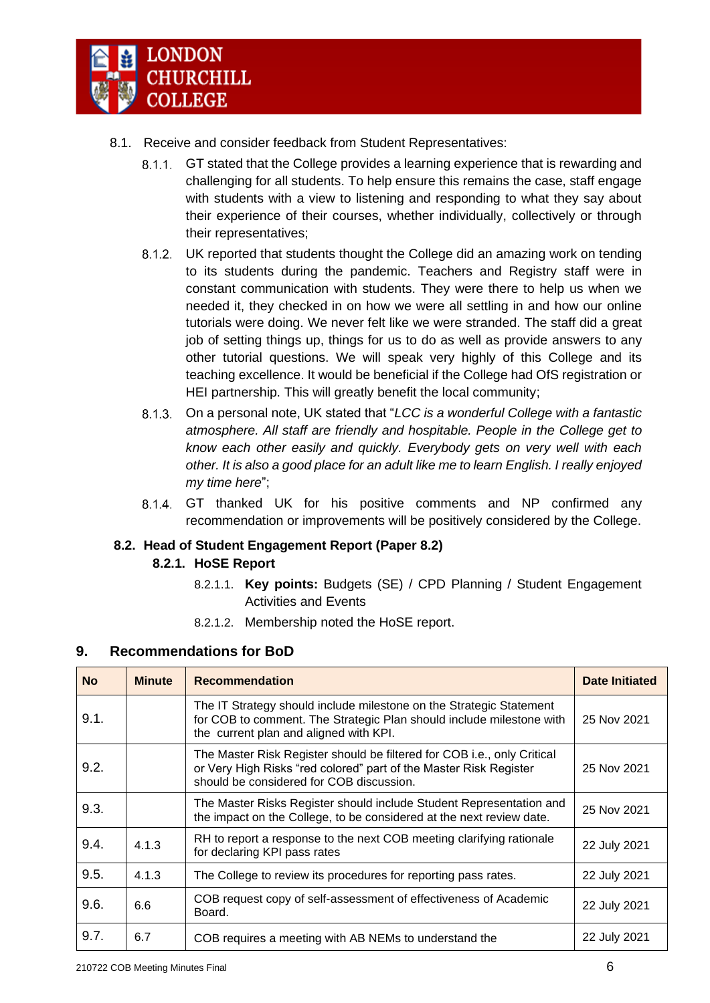

- 8.1. Receive and consider feedback from Student Representatives:
	- GT stated that the College provides a learning experience that is rewarding and challenging for all students. To help ensure this remains the case, staff engage with students with a view to listening and responding to what they say about their experience of their courses, whether individually, collectively or through their representatives;
	- $8.1.2.$ UK reported that students thought the College did an amazing work on tending to its students during the pandemic. Teachers and Registry staff were in constant communication with students. They were there to help us when we needed it, they checked in on how we were all settling in and how our online tutorials were doing. We never felt like we were stranded. The staff did a great job of setting things up, things for us to do as well as provide answers to any other tutorial questions. We will speak very highly of this College and its teaching excellence. It would be beneficial if the College had OfS registration or HEI partnership. This will greatly benefit the local community;
	- On a personal note, UK stated that "*LCC is a wonderful College with a fantastic atmosphere. All staff are friendly and hospitable. People in the College get to know each other easily and quickly. Everybody gets on very well with each other. It is also a good place for an adult like me to learn English. I really enjoyed my time here*";
	- $8.1.4$ GT thanked UK for his positive comments and NP confirmed any recommendation or improvements will be positively considered by the College.

## <span id="page-5-0"></span>**8.2. Head of Student Engagement Report (Paper 8.2)**

#### **8.2.1. HoSE Report**

- 8.2.1.1. **Key points:** Budgets (SE) / CPD Planning / Student Engagement Activities and Events
- 8.2.1.2. Membership noted the HoSE report.

#### <span id="page-5-1"></span>**9. Recommendations for BoD**

| <b>No</b> | <b>Minute</b> | <b>Recommendation</b>                                                                                                                                                                    | <b>Date Initiated</b> |
|-----------|---------------|------------------------------------------------------------------------------------------------------------------------------------------------------------------------------------------|-----------------------|
| 9.1.      |               | The IT Strategy should include milestone on the Strategic Statement<br>for COB to comment. The Strategic Plan should include milestone with<br>the current plan and aligned with KPI.    | 25 Nov 2021           |
| 9.2.      |               | The Master Risk Register should be filtered for COB i.e., only Critical<br>or Very High Risks "red colored" part of the Master Risk Register<br>should be considered for COB discussion. | 25 Nov 2021           |
| 9.3.      |               | The Master Risks Register should include Student Representation and<br>the impact on the College, to be considered at the next review date.                                              | 25 Nov 2021           |
| 9.4.      | 4.1.3         | RH to report a response to the next COB meeting clarifying rationale<br>for declaring KPI pass rates                                                                                     | 22 July 2021          |
| 9.5.      | 4.1.3         | The College to review its procedures for reporting pass rates.                                                                                                                           | 22 July 2021          |
| 9.6.      | 6.6           | COB request copy of self-assessment of effectiveness of Academic<br>Board.                                                                                                               | 22 July 2021          |
| 9.7.      | 6.7           | COB requires a meeting with AB NEMs to understand the                                                                                                                                    | 22 July 2021          |